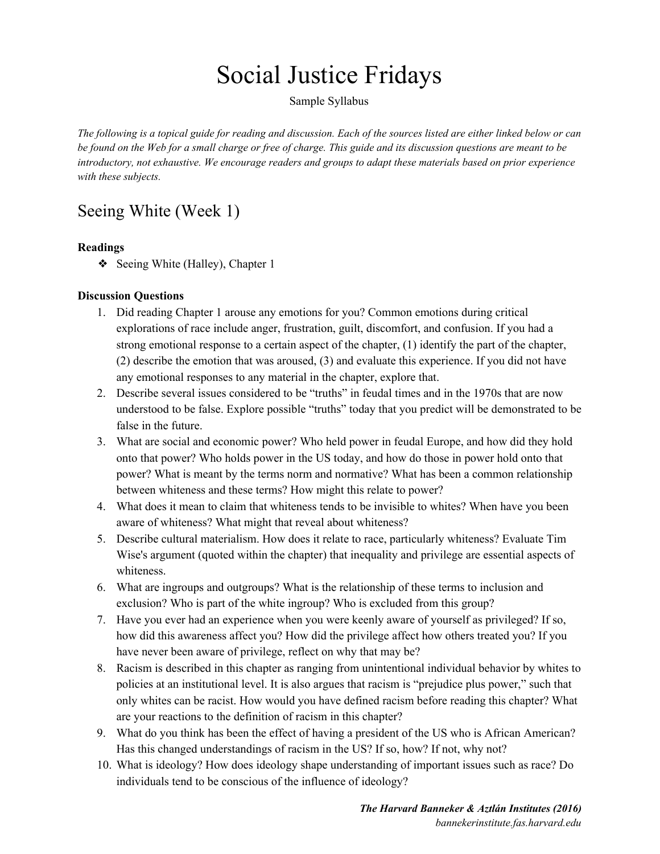# Social Justice Fridays

Sample Syllabus

The following is a topical guide for reading and discussion. Each of the sources listed are either linked below or can be found on the Web for a small charge or free of charge. This guide and its discussion questions are meant to be *introductory, not exhaustive. We encourage readers and groups to adapt these materials based on prior experience with these subjects.*

# Seeing White (Week 1)

#### **Readings**

❖ Seeing White (Halley), Chapter 1

#### **Discussion Questions**

- 1. Did reading Chapter 1 arouse any emotions for you? Common emotions during critical explorations of race include anger, frustration, guilt, discomfort, and confusion. If you had a strong emotional response to a certain aspect of the chapter, (1) identify the part of the chapter, (2) describe the emotion that was aroused, (3) and evaluate this experience. If you did not have any emotional responses to any material in the chapter, explore that.
- 2. Describe several issues considered to be "truths" in feudal times and in the 1970s that are now understood to be false. Explore possible "truths" today that you predict will be demonstrated to be false in the future.
- 3. What are social and economic power? Who held power in feudal Europe, and how did they hold onto that power? Who holds power in the US today, and how do those in power hold onto that power? What is meant by the terms norm and normative? What has been a common relationship between whiteness and these terms? How might this relate to power?
- 4. What does it mean to claim that whiteness tends to be invisible to whites? When have you been aware of whiteness? What might that reveal about whiteness?
- 5. Describe cultural materialism. How does it relate to race, particularly whiteness? Evaluate Tim Wise's argument (quoted within the chapter) that inequality and privilege are essential aspects of whiteness.
- 6. What are ingroups and outgroups? What is the relationship of these terms to inclusion and exclusion? Who is part of the white ingroup? Who is excluded from this group?
- 7. Have you ever had an experience when you were keenly aware of yourself as privileged? If so, how did this awareness affect you? How did the privilege affect how others treated you? If you have never been aware of privilege, reflect on why that may be?
- 8. Racism is described in this chapter as ranging from unintentional individual behavior by whites to policies at an institutional level. It is also argues that racism is "prejudice plus power," such that only whites can be racist. How would you have defined racism before reading this chapter? What are your reactions to the definition of racism in this chapter?
- 9. What do you think has been the effect of having a president of the US who is African American? Has this changed understandings of racism in the US? If so, how? If not, why not?
- 10. What is ideology? How does ideology shape understanding of important issues such as race? Do individuals tend to be conscious of the influence of ideology?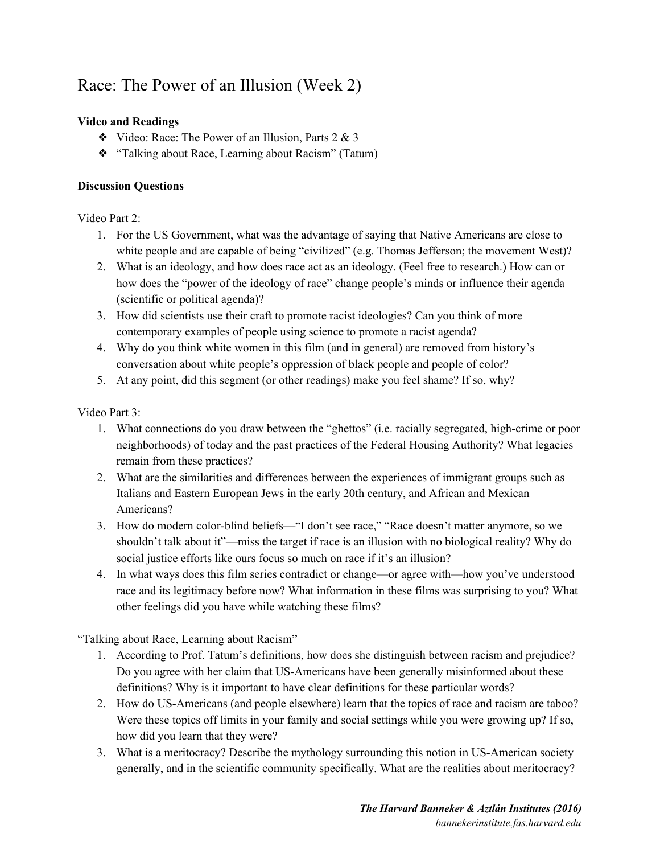## Race: The Power of an Illusion (Week 2)

#### **Video and Readings**

- $\triangleleft$  Video: Race: The Power of an Illusion, Parts 2 & 3
- ❖ "Talking about Race, Learning about Racism" (Tatum)

#### **Discussion Questions**

Video Part 2:

- 1. For the US Government, what was the advantage of saying that Native Americans are close to white people and are capable of being "civilized" (e.g. Thomas Jefferson; the movement West)?
- 2. What is an ideology, and how does race act as an ideology. (Feel free to research.) How can or how does the "power of the ideology of race" change people's minds or influence their agenda (scientific or political agenda)?
- 3. How did scientists use their craft to promote racist ideologies? Can you think of more contemporary examples of people using science to promote a racist agenda?
- 4. Why do you think white women in this film (and in general) are removed from history's conversation about white people's oppression of black people and people of color?
- 5. At any point, did this segment (or other readings) make you feel shame? If so, why?

Video Part 3:

- 1. What connections do you draw between the "ghettos" (i.e. racially segregated, high-crime or poor neighborhoods) of today and the past practices of the Federal Housing Authority? What legacies remain from these practices?
- 2. What are the similarities and differences between the experiences of immigrant groups such as Italians and Eastern European Jews in the early 20th century, and African and Mexican Americans?
- 3. How do modern color-blind beliefs—"I don't see race," "Race doesn't matter anymore, so we shouldn't talk about it"—miss the target if race is an illusion with no biological reality? Why do social justice efforts like ours focus so much on race if it's an illusion?
- 4. In what ways does this film series contradict or change—or agree with—how you've understood race and its legitimacy before now? What information in these films was surprising to you? What other feelings did you have while watching these films?

"Talking about Race, Learning about Racism"

- 1. According to Prof. Tatum's definitions, how does she distinguish between racism and prejudice? Do you agree with her claim that US-Americans have been generally misinformed about these definitions? Why is it important to have clear definitions for these particular words?
- 2. How do US-Americans (and people elsewhere) learn that the topics of race and racism are taboo? Were these topics off limits in your family and social settings while you were growing up? If so, how did you learn that they were?
- 3. What is a meritocracy? Describe the mythology surrounding this notion in US-American society generally, and in the scientific community specifically. What are the realities about meritocracy?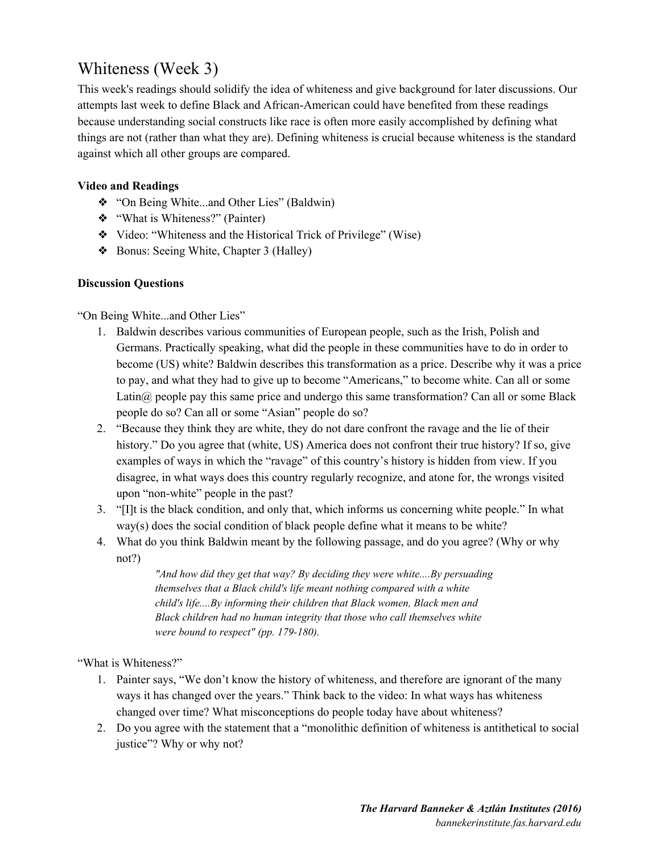### Whiteness (Week 3)

This week's readings should solidify the idea of whiteness and give background for later discussions. Our attempts last week to define Black and African-American could have benefited from these readings because understanding social constructs like race is often more easily accomplished by defining what things are not (rather than what they are). Defining whiteness is crucial because whiteness is the standard against which all other groups are compared.

#### **Video and Readings**

- ❖ "On Being White...and Other Lies" (Baldwin)
- ❖ "What is Whiteness?" (Painter)
- ❖ Video: "Whiteness and the Historical Trick of Privilege" (Wise)
- ❖ Bonus: Seeing White, Chapter 3 (Halley)

#### **Discussion Questions**

"On Being White...and Other Lies"

- 1. Baldwin describes various communities of European people, such as the Irish, Polish and Germans. Practically speaking, what did the people in these communities have to do in order to become (US) white? Baldwin describes this transformation as a price. Describe why it was a price to pay, and what they had to give up to become "Americans," to become white. Can all or some Latin $\omega$  people pay this same price and undergo this same transformation? Can all or some Black people do so? Can all or some "Asian" people do so?
- 2. "Because they think they are white, they do not dare confront the ravage and the lie of their history." Do you agree that (white, US) America does not confront their true history? If so, give examples of ways in which the "ravage" of this country's history is hidden from view. If you disagree, in what ways does this country regularly recognize, and atone for, the wrongs visited upon "non-white" people in the past?
- 3. "[I]t is the black condition, and only that, which informs us concerning white people." In what way(s) does the social condition of black people define what it means to be white?
- 4. What do you think Baldwin meant by the following passage, and do you agree? (Why or why not?)

*"And how did they get that way? By deciding they were white....By persuading themselves that a Black child's life meant nothing compared with a white child's life....By informing their children that Black women, Black men and Black children had no human integrity that those who call themselves white were bound to respect" (pp. 179-180).*

"What is Whiteness?"

- 1. Painter says, "We don't know the history of whiteness, and therefore are ignorant of the many ways it has changed over the years." Think back to the video: In what ways has whiteness changed over time? What misconceptions do people today have about whiteness?
- 2. Do you agree with the statement that a "monolithic definition of whiteness is antithetical to social justice"? Why or why not?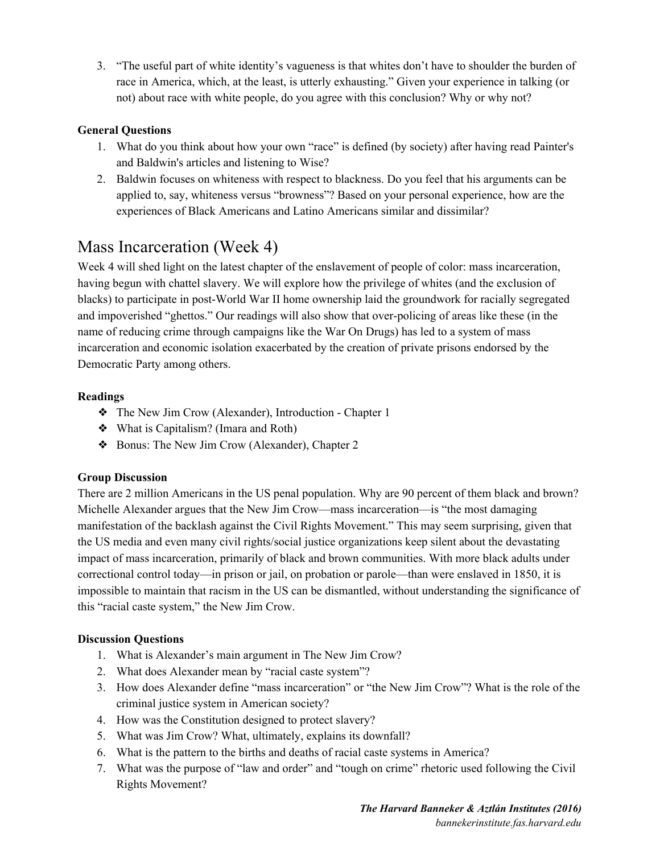3. "The useful part of white identity's vagueness is that whites don't have to shoulder the burden of race in America, which, at the least, is utterly exhausting." Given your experience in talking (or not) about race with white people, do you agree with this conclusion? Why or why not?

#### **General Questions**

- 1. What do you think about how your own "race" is defined (by society) after having read Painter's and Baldwin's articles and listening to Wise?
- 2. Baldwin focuses on whiteness with respect to blackness. Do you feel that his arguments can be applied to, say, whiteness versus "browness"? Based on your personal experience, how are the experiences of Black Americans and Latino Americans similar and dissimilar?

### Mass Incarceration (Week 4)

Week 4 will shed light on the latest chapter of the enslavement of people of color: mass incarceration, having begun with chattel slavery. We will explore how the privilege of whites (and the exclusion of blacks) to participate in post-World War II home ownership laid the groundwork for racially segregated and impoverished "ghettos." Our readings will also show that over-policing of areas like these (in the name of reducing crime through campaigns like the War On Drugs) has led to a system of mass incarceration and economic isolation exacerbated by the creation of private prisons endorsed by the Democratic Party among others.

#### **Readings**

- ❖ The New Jim Crow (Alexander), Introduction Chapter 1
- ❖ What is Capitalism? (Imara and Roth)
- ❖ Bonus: The New Jim Crow (Alexander), Chapter 2

#### **Group Discussion**

There are 2 million Americans in the US penal population. Why are 90 percent of them black and brown? Michelle Alexander argues that the New Jim Crow—mass incarceration—is "the most damaging manifestation of the backlash against the Civil Rights Movement." This may seem surprising, given that the US media and even many civil rights/social justice organizations keep silent about the devastating impact of mass incarceration, primarily of black and brown communities. With more black adults under correctional control today—in prison or jail, on probation or parole—than were enslaved in 1850, it is impossible to maintain that racism in the US can be dismantled, without understanding the significance of this "racial caste system," the New Jim Crow.

#### **Discussion Questions**

- 1. What is Alexander's main argument in The New Jim Crow?
- 2. What does Alexander mean by "racial caste system"?
- 3. How does Alexander define "mass incarceration" or "the New Jim Crow"? What is the role of the criminal justice system in American society?
- 4. How was the Constitution designed to protect slavery?
- 5. What was Jim Crow? What, ultimately, explains its downfall?
- 6. What is the pattern to the births and deaths of racial caste systems in America?
- 7. What was the purpose of "law and order" and "tough on crime" rhetoric used following the Civil Rights Movement?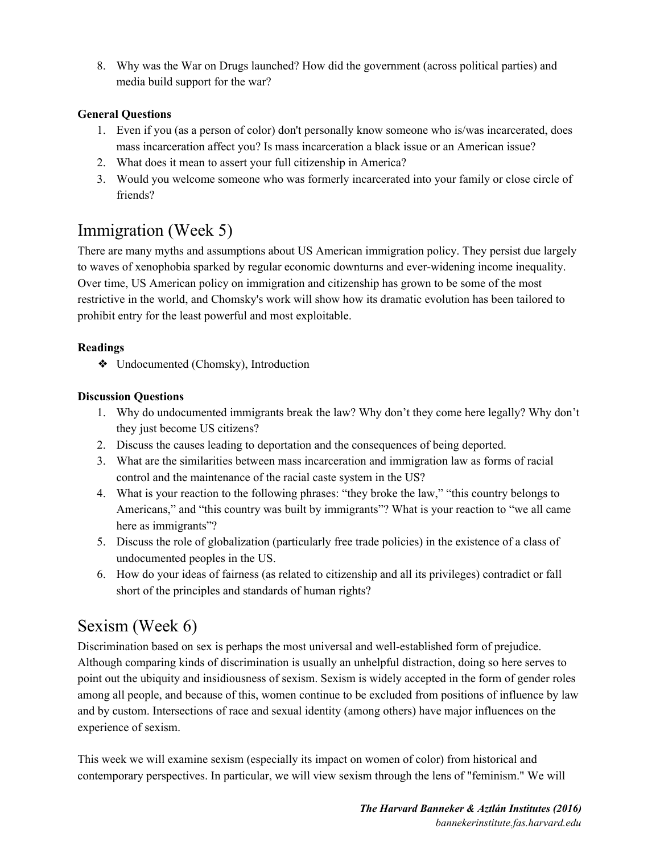8. Why was the War on Drugs launched? How did the government (across political parties) and media build support for the war?

#### **General Questions**

- 1. Even if you (as a person of color) don't personally know someone who is/was incarcerated, does mass incarceration affect you? Is mass incarceration a black issue or an American issue?
- 2. What does it mean to assert your full citizenship in America?
- 3. Would you welcome someone who was formerly incarcerated into your family or close circle of friends?

### Immigration (Week 5)

There are many myths and assumptions about US American immigration policy. They persist due largely to waves of xenophobia sparked by regular economic downturns and ever-widening income inequality. Over time, US American policy on immigration and citizenship has grown to be some of the most restrictive in the world, and Chomsky's work will show how its dramatic evolution has been tailored to prohibit entry for the least powerful and most exploitable.

#### **Readings**

❖ Undocumented (Chomsky), Introduction

#### **Discussion Questions**

- 1. Why do undocumented immigrants break the law? Why don't they come here legally? Why don't they just become US citizens?
- 2. Discuss the causes leading to deportation and the consequences of being deported.
- 3. What are the similarities between mass incarceration and immigration law as forms of racial control and the maintenance of the racial caste system in the US?
- 4. What is your reaction to the following phrases: "they broke the law," "this country belongs to Americans," and "this country was built by immigrants"? What is your reaction to "we all came here as immigrants"?
- 5. Discuss the role of globalization (particularly free trade policies) in the existence of a class of undocumented peoples in the US.
- 6. How do your ideas of fairness (as related to citizenship and all its privileges) contradict or fall short of the principles and standards of human rights?

### Sexism (Week 6)

Discrimination based on sex is perhaps the most universal and well-established form of prejudice. Although comparing kinds of discrimination is usually an unhelpful distraction, doing so here serves to point out the ubiquity and insidiousness of sexism. Sexism is widely accepted in the form of gender roles among all people, and because of this, women continue to be excluded from positions of influence by law and by custom. Intersections of race and sexual identity (among others) have major influences on the experience of sexism.

This week we will examine sexism (especially its impact on women of color) from historical and contemporary perspectives. In particular, we will view sexism through the lens of "feminism." We will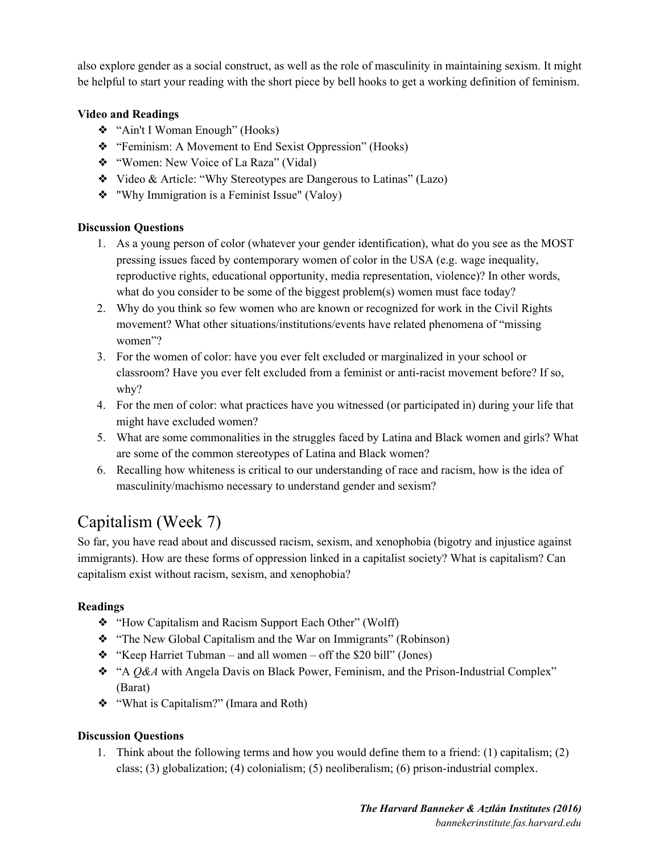also explore gender as a social construct, as well as the role of masculinity in maintaining sexism. It might be helpful to start your reading with the short piece by bell hooks to get a working definition of feminism.

#### **Video and Readings**

- ❖ "Ain't I Woman Enough" (Hooks)
- ❖ "Feminism: A Movement to End Sexist Oppression" (Hooks)
- ❖ "Women: New Voice of La Raza" (Vidal)
- ❖ Video & Article: "Why Stereotypes are Dangerous to Latinas" (Lazo)
- ❖ "Why Immigration is a Feminist Issue" (Valoy)

#### **Discussion Questions**

- 1. As a young person of color (whatever your gender identification), what do you see as the MOST pressing issues faced by contemporary women of color in the USA (e.g. wage inequality, reproductive rights, educational opportunity, media representation, violence)? In other words, what do you consider to be some of the biggest problem(s) women must face today?
- 2. Why do you think so few women who are known or recognized for work in the Civil Rights movement? What other situations/institutions/events have related phenomena of "missing women"?
- 3. For the women of color: have you ever felt excluded or marginalized in your school or classroom? Have you ever felt excluded from a feminist or anti-racist movement before? If so, why?
- 4. For the men of color: what practices have you witnessed (or participated in) during your life that might have excluded women?
- 5. What are some commonalities in the struggles faced by Latina and Black women and girls? What are some of the common stereotypes of Latina and Black women?
- 6. Recalling how whiteness is critical to our understanding of race and racism, how is the idea of masculinity/machismo necessary to understand gender and sexism?

# Capitalism (Week 7)

So far, you have read about and discussed racism, sexism, and xenophobia (bigotry and injustice against immigrants). How are these forms of oppression linked in a capitalist society? What is capitalism? Can capitalism exist without racism, sexism, and xenophobia?

#### **Readings**

- ❖ "How Capitalism and Racism Support Each Other" (Wolff)
- ❖ "The New Global Capitalism and the War on Immigrants" (Robinson)
- ❖ "Keep Harriet Tubman and all women off the \$20 bill" (Jones)
- ❖ "A *Q&A* with Angela Davis on Black Power, Feminism, and the Prison-Industrial Complex" (Barat)
- ❖ "What is Capitalism?" (Imara and Roth)

#### **Discussion Questions**

1. Think about the following terms and how you would define them to a friend: (1) capitalism; (2) class; (3) globalization; (4) colonialism; (5) neoliberalism; (6) prison-industrial complex.